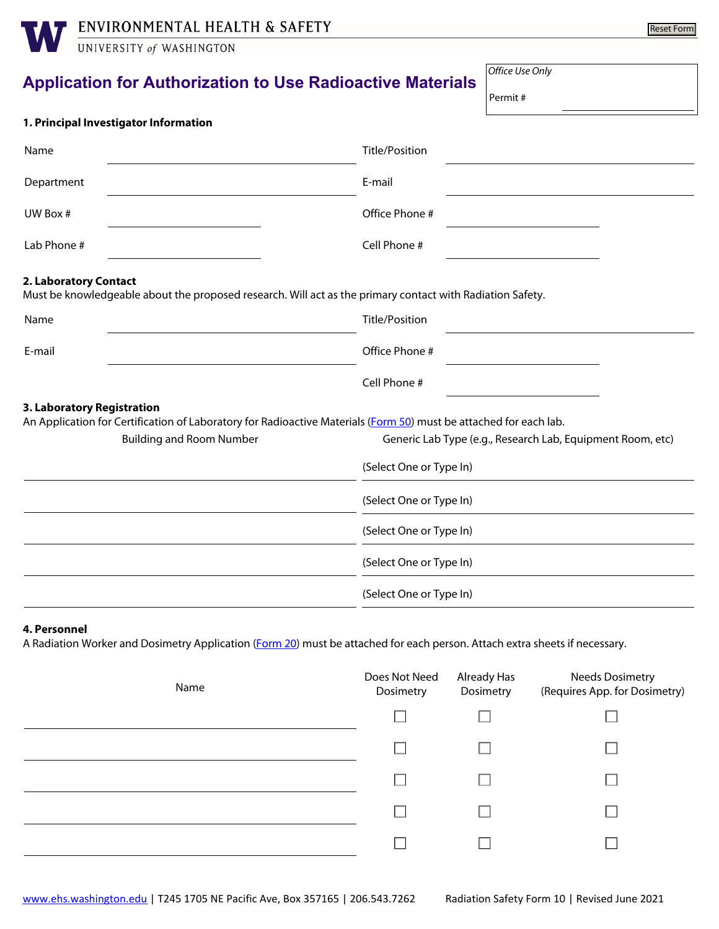**WENVIRONMENTAL HEALTH & SAFETY** 

| ENVIRONMENTAL HEALTH & SAFETY         | Reset Form                                                                                                        |
|---------------------------------------|-------------------------------------------------------------------------------------------------------------------|
| UNIVERSITY of WASHINGTON              |                                                                                                                   |
|                                       | Office Use Only<br><b>Application for Authorization to Use Radioactive Materials</b><br>Permit#                   |
| 1. Principal Investigator Information |                                                                                                                   |
| Name                                  | <b>Title/Position</b>                                                                                             |
| Department                            | E-mail                                                                                                            |
| UW Box #                              | Office Phone #                                                                                                    |
| Lab Phone #                           | Cell Phone #                                                                                                      |
| 2. Laboratory Contact                 | Must be knowledgeable about the proposed research. Will act as the primary contact with Radiation Safety.         |
| Name                                  | <b>Title/Position</b>                                                                                             |
| E-mail                                | Office Phone #                                                                                                    |
|                                       | Cell Phone #                                                                                                      |
| 3. Laboratory Registration            | An Application for Certification of Laboratory for Radioactive Materials (Form 50) must be attached for each lab. |
| <b>Building and Room Number</b>       | Generic Lab Type (e.g., Research Lab, Equipment Room, etc)                                                        |
|                                       | (Select One or Type In)                                                                                           |
|                                       | (Select One or Type In)                                                                                           |
|                                       | (Select One or Type In)                                                                                           |
|                                       | (Select One or Type In)                                                                                           |
|                                       | (Select One or Type In)                                                                                           |
|                                       |                                                                                                                   |

#### **4. Personnel**

A Radiation Worker and Dosimetry Application [\(Form 20\)](https://www.ehs.washington.edu/system/files/resources/form20.pdf) must be attached for each person. Attach extra sheets if necessary.

| Name | Does Not Need<br>Dosimetry | Already Has<br>Dosimetry | <b>Needs Dosimetry</b><br>(Requires App. for Dosimetry) |
|------|----------------------------|--------------------------|---------------------------------------------------------|
|      |                            |                          |                                                         |
|      |                            |                          |                                                         |
|      |                            |                          |                                                         |
|      |                            |                          |                                                         |
|      |                            |                          |                                                         |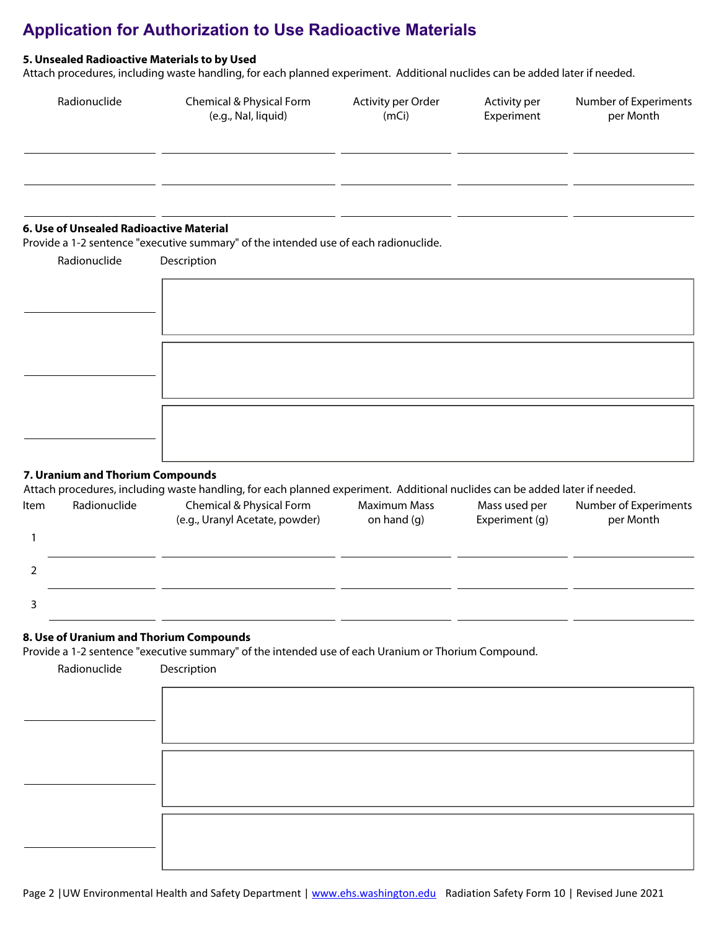#### **5. Unsealed Radioactive Materials to by Used**

Attach procedures, including waste handling, for each planned experiment. Additional nuclides can be added later if needed.

| Radionuclide                            | Chemical & Physical Form<br>(e.g., Nal, liquid)                                      | Activity per Order<br>(mCi) | Activity per<br>Experiment | Number of Experiments<br>per Month |
|-----------------------------------------|--------------------------------------------------------------------------------------|-----------------------------|----------------------------|------------------------------------|
|                                         |                                                                                      |                             |                            |                                    |
|                                         |                                                                                      |                             |                            |                                    |
|                                         |                                                                                      |                             |                            |                                    |
| 6. Use of Unsealed Radioactive Material | Provide a 1-2 sentence "executive summary" of the intended use of each radionuclide. |                             |                            |                                    |
| Radionuclide                            | Description                                                                          |                             |                            |                                    |
|                                         |                                                                                      |                             |                            |                                    |
|                                         |                                                                                      |                             |                            |                                    |
|                                         |                                                                                      |                             |                            |                                    |
|                                         |                                                                                      |                             |                            |                                    |

# **7. Uranium and Thorium Compounds**

#### Attach procedures, including waste handling, for each planned experiment. Additional nuclides can be added later if needed.

| Item | Radionuclide | Chemical & Physical Form<br>(e.g., Uranyl Acetate, powder) | <b>Maximum Mass</b><br>on hand $(q)$ | Mass used per<br>Experiment (g) | Number of Experiments<br>per Month |
|------|--------------|------------------------------------------------------------|--------------------------------------|---------------------------------|------------------------------------|
|      |              |                                                            |                                      |                                 |                                    |
|      |              |                                                            |                                      |                                 |                                    |
|      |              |                                                            |                                      |                                 |                                    |

#### **8. Use of Uranium and Thorium Compounds**

Provide a 1-2 sentence "executive summary" of the intended use of each Uranium or Thorium Compound.

| Radionuclide | Description |
|--------------|-------------|
|              |             |
|              |             |
|              |             |
|              |             |
|              |             |
|              |             |
|              |             |
|              |             |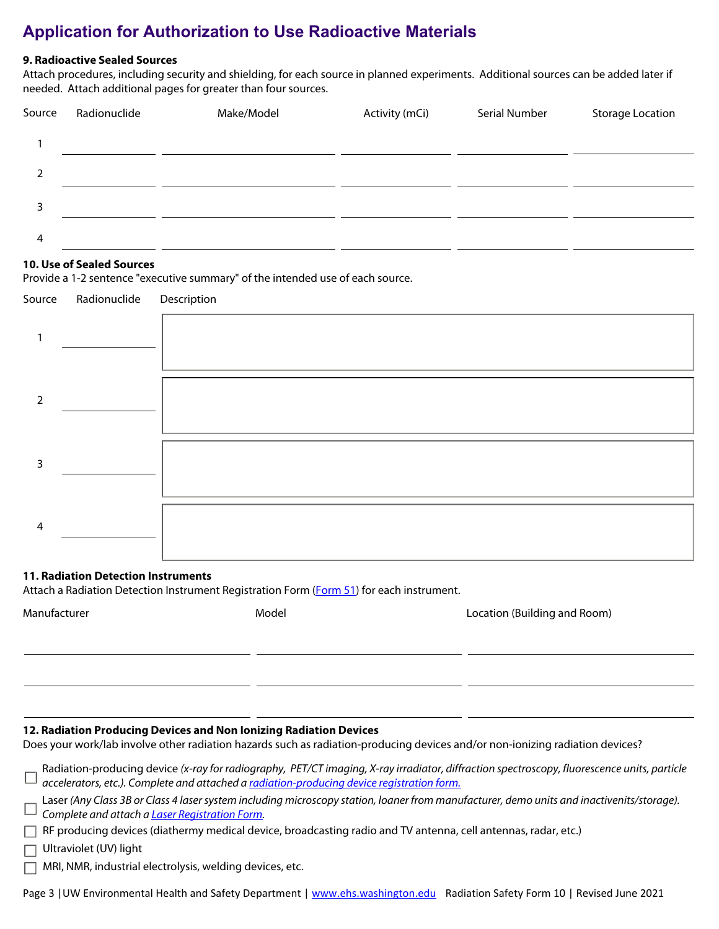#### **9. Radioactive Sealed Sources**

Attach procedures, including security and shielding, for each source in planned experiments. Additional sources can be added later if needed. Attach additional pages for greater than four sources.

| Source        | Radionuclide | Make/Model | Activity (mCi) | Serial Number | <b>Storage Location</b> |
|---------------|--------------|------------|----------------|---------------|-------------------------|
|               |              |            |                |               |                         |
| $\mathcal{P}$ |              |            |                |               |                         |
| 3             |              |            |                |               |                         |
| 4             |              |            |                |               |                         |

#### **10. Use of Sealed Sources**

Provide a 1-2 sentence "executive summary" of the intended use of each source.

|   | Source Radionuclide Description |  |
|---|---------------------------------|--|
|   |                                 |  |
| 2 |                                 |  |
| 3 |                                 |  |
| 4 |                                 |  |

#### **11. Radiation Detection Instruments**

Attach a Radiation Detection Instrument Registration Form ([Form 51](https://www.ehs.washington.edu/system/files/resources/form51.pdf)) for each instrument.

| Manufacturer | Model | Location (Building and Room) |
|--------------|-------|------------------------------|
|              |       |                              |
|              |       |                              |

#### **12. Radiation Producing Devices and Non Ionizing Radiation Devices**

Does your work/lab involve other radiation hazards such as radiation-producing devices and/or non-ionizing radiation devices?

| Radiation-producing device (x-ray for radiography, PET/CT imaging, X-ray irradiator, diffraction spectroscopy, fluorescence units, particle |
|---------------------------------------------------------------------------------------------------------------------------------------------|
| <sup>4</sup> accelerators, etc.). Complete and attached a <u>radiation-producing device registration form.</u>                              |

Laser *(Any Class 3B or Class 4 laser system including microscopy station, loaner from manufacturer, demo units and inactivenits/storage). Complete and attach a [Laser Registration Form.](https://www.ehs.washington.edu/system/files/resources/form600.pdf)*

 $\Box$  RF producing devices (diathermy medical device, broadcasting radio and TV antenna, cell antennas, radar, etc.)

Ultraviolet (UV) light

MRI, NMR, industrial electrolysis, welding devices, etc.

| Page 3   UW Environmental Health and Safety Department   www.ehs.washington.edu Radiation Safety Form 10   Revised June 2021 |  |
|------------------------------------------------------------------------------------------------------------------------------|--|
|------------------------------------------------------------------------------------------------------------------------------|--|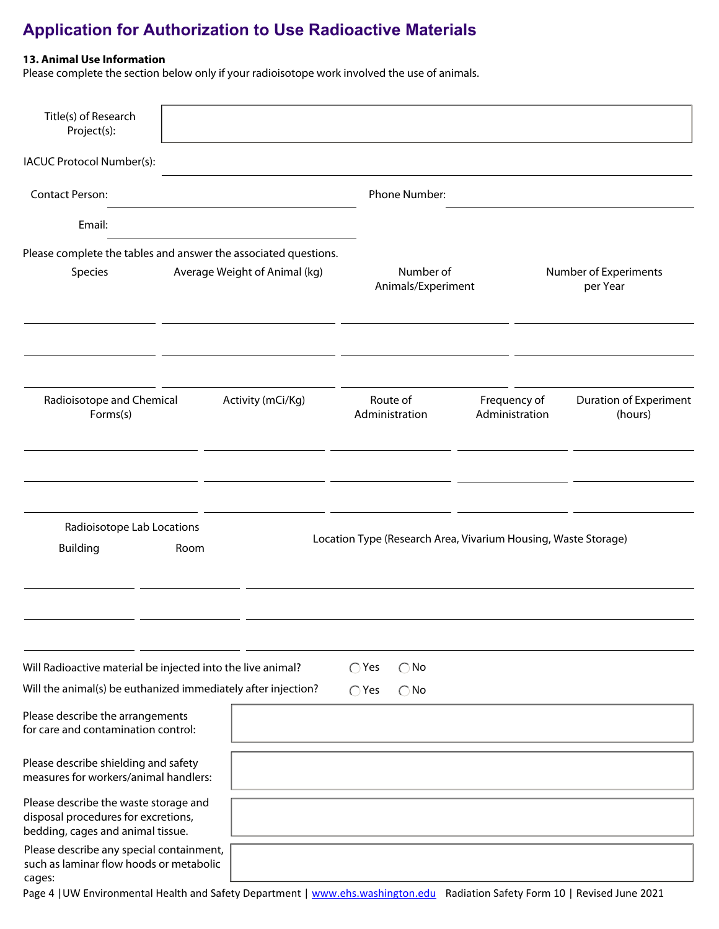#### **13. Animal Use Information**

Please complete the section below only if your radioisotope work involved the use of animals.

| Title(s) of Research<br>Project(s):                                                                               |      |                               |                                                                |                                |                                          |
|-------------------------------------------------------------------------------------------------------------------|------|-------------------------------|----------------------------------------------------------------|--------------------------------|------------------------------------------|
| IACUC Protocol Number(s):                                                                                         |      |                               |                                                                |                                |                                          |
| <b>Contact Person:</b>                                                                                            |      |                               | Phone Number:                                                  |                                |                                          |
| Email:                                                                                                            |      |                               |                                                                |                                |                                          |
| Please complete the tables and answer the associated questions.                                                   |      |                               |                                                                |                                |                                          |
| Species                                                                                                           |      | Average Weight of Animal (kg) | Number of<br>Animals/Experiment                                |                                | Number of Experiments<br>per Year        |
|                                                                                                                   |      |                               |                                                                |                                |                                          |
| Radioisotope and Chemical<br>Forms(s)                                                                             |      | Activity (mCi/Kg)             | Route of<br>Administration                                     | Frequency of<br>Administration | <b>Duration of Experiment</b><br>(hours) |
| Radioisotope Lab Locations<br><b>Building</b>                                                                     | Room |                               | Location Type (Research Area, Vivarium Housing, Waste Storage) |                                |                                          |
| Will Radioactive material be injected into the live animal?                                                       |      |                               | $\bigcirc$ Yes<br>$\bigcirc$ No                                |                                |                                          |
| Will the animal(s) be euthanized immediately after injection?                                                     |      |                               | $\bigcirc$ Yes<br>$\bigcirc$ No                                |                                |                                          |
| Please describe the arrangements<br>for care and contamination control:                                           |      |                               |                                                                |                                |                                          |
| Please describe shielding and safety<br>measures for workers/animal handlers:                                     |      |                               |                                                                |                                |                                          |
| Please describe the waste storage and<br>disposal procedures for excretions,<br>bedding, cages and animal tissue. |      |                               |                                                                |                                |                                          |
| Please describe any special containment,<br>such as laminar flow hoods or metabolic<br>cages:                     |      |                               |                                                                |                                |                                          |

Page 4 | UW Environmental Health and Safety Department | [www.ehs.washington.edu](http://www.ehs.washington.edu) Radiation Safety Form 10 | Revised June 2021